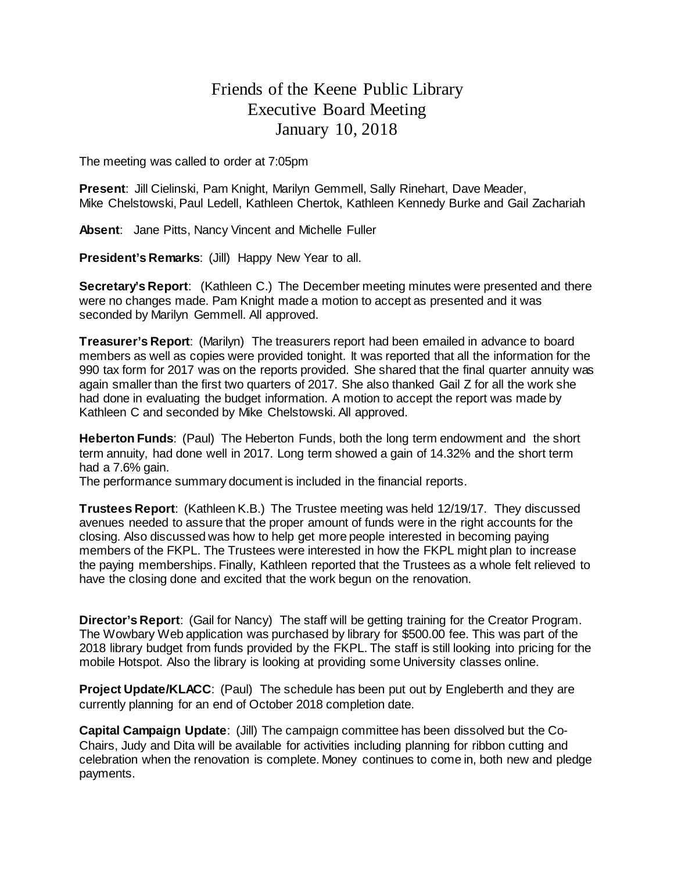## Friends of the Keene Public Library Executive Board Meeting January 10, 2018

The meeting was called to order at 7:05pm

**Present**: Jill Cielinski, Pam Knight, Marilyn Gemmell, Sally Rinehart, Dave Meader, Mike Chelstowski, Paul Ledell, Kathleen Chertok, Kathleen Kennedy Burke and Gail Zachariah

**Absent**: Jane Pitts, Nancy Vincent and Michelle Fuller

**President's Remarks**: (Jill) Happy New Year to all.

**Secretary's Report**: (Kathleen C.) The December meeting minutes were presented and there were no changes made. Pam Knight made a motion to accept as presented and it was seconded by Marilyn Gemmell. All approved.

**Treasurer's Report**: (Marilyn) The treasurers report had been emailed in advance to board members as well as copies were provided tonight. It was reported that all the information for the 990 tax form for 2017 was on the reports provided. She shared that the final quarter annuity was again smaller than the first two quarters of 2017. She also thanked Gail Z for all the work she had done in evaluating the budget information. A motion to accept the report was made by Kathleen C and seconded by Mike Chelstowski. All approved.

**Heberton Funds**: (Paul) The Heberton Funds, both the long term endowment and the short term annuity, had done well in 2017. Long term showed a gain of 14.32% and the short term had a 7.6% gain.

The performance summary document is included in the financial reports.

**Trustees Report**: (Kathleen K.B.) The Trustee meeting was held 12/19/17. They discussed avenues needed to assure that the proper amount of funds were in the right accounts for the closing. Also discussed was how to help get more people interested in becoming paying members of the FKPL. The Trustees were interested in how the FKPL might plan to increase the paying memberships. Finally, Kathleen reported that the Trustees as a whole felt relieved to have the closing done and excited that the work begun on the renovation.

**Director's Report**: (Gail for Nancy) The staff will be getting training for the Creator Program. The Wowbary Web application was purchased by library for \$500.00 fee. This was part of the 2018 library budget from funds provided by the FKPL. The staff is still looking into pricing for the mobile Hotspot. Also the library is looking at providing some University classes online.

**Project Update/KLACC**: (Paul) The schedule has been put out by Engleberth and they are currently planning for an end of October 2018 completion date.

**Capital Campaign Update**: (Jill) The campaign committee has been dissolved but the Co-Chairs, Judy and Dita will be available for activities including planning for ribbon cutting and celebration when the renovation is complete. Money continues to come in, both new and pledge payments.